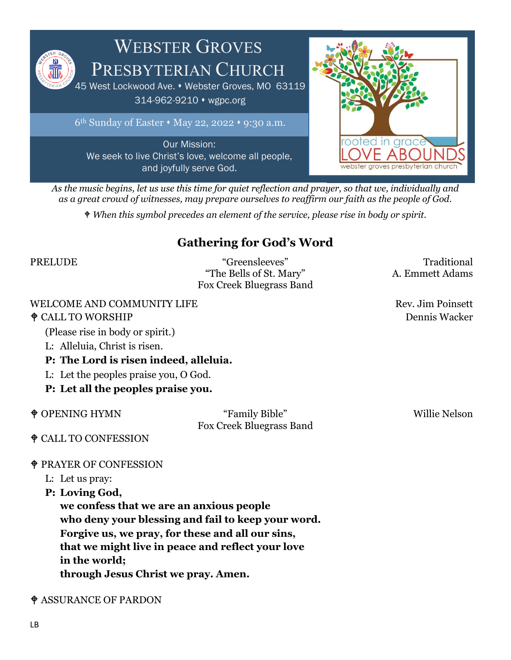

 $6<sup>th</sup>$  Sunday of Easter  $\cdot$  May 22, 2022  $\cdot$  9:30 a.m.

Our Mission: We seek to live Christ's love, welcome all people, and joyfully serve God.



*As the music begins, let us use this time for quiet reflection and prayer, so that we, individually and as a great crowd of witnesses, may prepare ourselves to reaffirm our faith as the people of God.*

*When this symbol precedes an element of the service, please rise in body or spirit.*

### **Gathering for God's Word**

PRELUDE "Greensleeves" Traditional "The Bells of St. Mary" A. Emmett Adams Fox Creek Bluegrass Band

### WELCOME AND COMMUNITY LIFE **Rev.** Jim Poinsett

### $\triangle$ CALL TO WORSHIP Dennis Wacker

(Please rise in body or spirit.)

- L: Alleluia, Christ is risen.
- **P: The Lord is risen indeed, alleluia.**
- L: Let the peoples praise you, O God.
- **P: Let all the peoples praise you.**

 OPENING HYMN "Family Bible" Willie Nelson Fox Creek Bluegrass Band

### CALL TO CONFESSION

### PRAYER OF CONFESSION

- L: Let us pray:
- **P: Loving God,**

**we confess that we are an anxious people who deny your blessing and fail to keep your word. Forgive us, we pray, for these and all our sins, that we might live in peace and reflect your love in the world; through Jesus Christ we pray. Amen.**

### ASSURANCE OF PARDON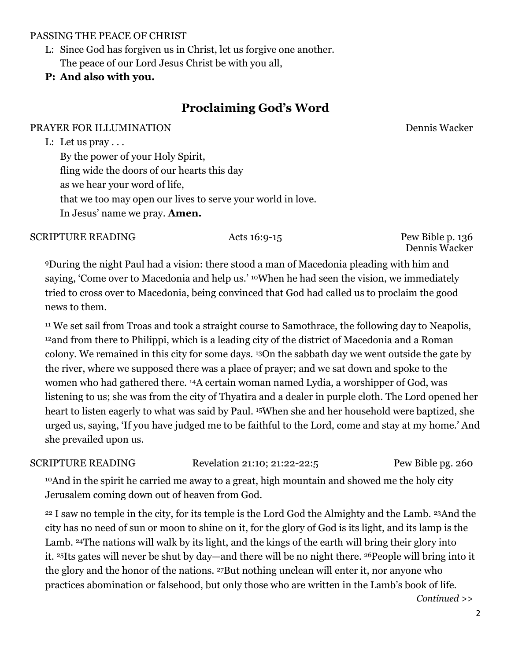### PASSING THE PEACE OF CHRIST

L: Since God has forgiven us in Christ, let us forgive one another. The peace of our Lord Jesus Christ be with you all,

### **P: And also with you.**

### **Proclaiming God's Word**

### PRAYER FOR ILLUMINATION Dennis Wacker

L: Let us pray . . .

By the power of your Holy Spirit, fling wide the doors of our hearts this day as we hear your word of life, that we too may open our lives to serve your world in love. In Jesus' name we pray. **Amen.**

### SCRIPTURE READING Acts 16:9-15 Pew Bible p. 136

Dennis Wacker

9During the night Paul had a vision: there stood a man of Macedonia pleading with him and saying, 'Come over to Macedonia and help us.' <sup>10</sup>When he had seen the vision, we immediately tried to cross over to Macedonia, being convinced that God had called us to proclaim the good news to them.

<sup>11</sup> We set sail from Troas and took a straight course to Samothrace, the following day to Neapolis, 12and from there to Philippi, which is a leading city of the district of Macedonia and a Roman colony. We remained in this city for some days. 13On the sabbath day we went outside the gate by the river, where we supposed there was a place of prayer; and we sat down and spoke to the women who had gathered there. 14A certain woman named Lydia, a worshipper of God, was listening to us; she was from the city of Thyatira and a dealer in purple cloth. The Lord opened her heart to listen eagerly to what was said by Paul. 15When she and her household were baptized, she urged us, saying, 'If you have judged me to be faithful to the Lord, come and stay at my home.' And she prevailed upon us.

SCRIPTURE READING Revelation 21:10; 21:22-22:5 Pew Bible pg. 260

10And in the spirit he carried me away to a great, high mountain and showed me the holy city Jerusalem coming down out of heaven from God.

<sup>22</sup> I saw no temple in the city, for its temple is the Lord God the Almighty and the Lamb. <sup>23</sup>And the city has no need of sun or moon to shine on it, for the glory of God is its light, and its lamp is the Lamb. 24The nations will walk by its light, and the kings of the earth will bring their glory into it. 25Its gates will never be shut by day—and there will be no night there. 26People will bring into it the glory and the honor of the nations. 27But nothing unclean will enter it, nor anyone who practices abomination or falsehood, but only those who are written in the Lamb's book of life.

*Continued >>*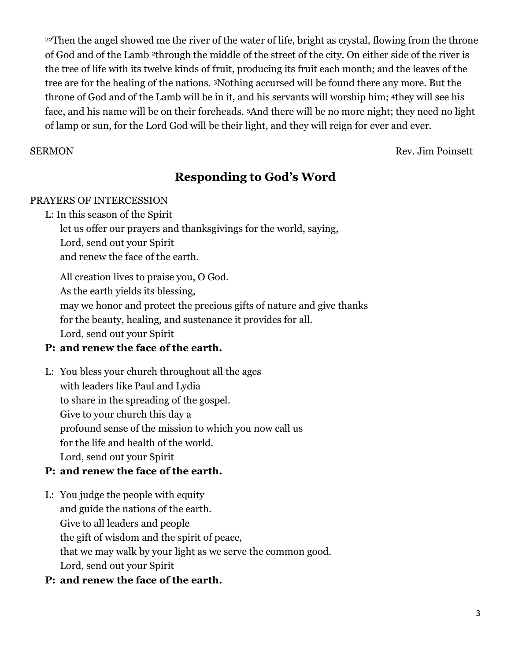<sup>22</sup>Then the angel showed me the river of the water of life, bright as crystal, flowing from the throne of God and of the Lamb 2through the middle of the street of the city. On either side of the river is the tree of life with its twelve kinds of fruit, producing its fruit each month; and the leaves of the tree are for the healing of the nations. 3Nothing accursed will be found there any more. But the throne of God and of the Lamb will be in it, and his servants will worship him; 4they will see his face, and his name will be on their foreheads. 5And there will be no more night; they need no light of lamp or sun, for the Lord God will be their light, and they will reign for ever and ever.

SERMON Rev. Jim Poinsett

### **Responding to God's Word**

### PRAYERS OF INTERCESSION

L: In this season of the Spirit

let us offer our prayers and thanksgivings for the world, saying,

Lord, send out your Spirit

and renew the face of the earth.

All creation lives to praise you, O God. As the earth yields its blessing, may we honor and protect the precious gifts of nature and give thanks for the beauty, healing, and sustenance it provides for all. Lord, send out your Spirit

### **P: and renew the face of the earth.**

L: You bless your church throughout all the ages with leaders like Paul and Lydia to share in the spreading of the gospel. Give to your church this day a profound sense of the mission to which you now call us for the life and health of the world. Lord, send out your Spirit

### **P: and renew the face of the earth.**

- L: You judge the people with equity and guide the nations of the earth. Give to all leaders and people the gift of wisdom and the spirit of peace, that we may walk by your light as we serve the common good. Lord, send out your Spirit
- **P: and renew the face of the earth.**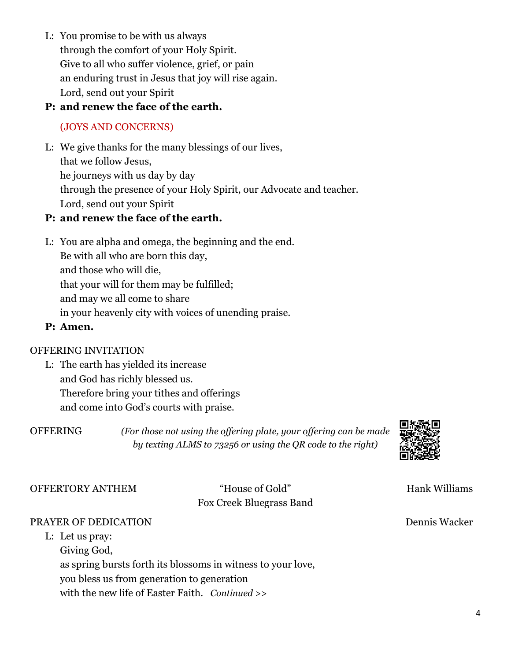L: You promise to be with us always through the comfort of your Holy Spirit. Give to all who suffer violence, grief, or pain an enduring trust in Jesus that joy will rise again. Lord, send out your Spirit

### **P: and renew the face of the earth.**

### (JOYS AND CONCERNS)

L: We give thanks for the many blessings of our lives, that we follow Jesus, he journeys with us day by day through the presence of your Holy Spirit, our Advocate and teacher. Lord, send out your Spirit

### **P: and renew the face of the earth.**

L: You are alpha and omega, the beginning and the end. Be with all who are born this day, and those who will die, that your will for them may be fulfilled; and may we all come to share in your heavenly city with voices of unending praise.

### **P: Amen.**

### OFFERING INVITATION

L: The earth has yielded its increase and God has richly blessed us. Therefore bring your tithes and offerings and come into God's courts with praise.

OFFERING *(For those not using the offering plate, your offering can be made by texting ALMS to 73256 or using the QR code to the right)*



OFFERTORY ANTHEM "House of Gold" Hank Williams

## Fox Creek Bluegrass Band

### PRAYER OF DEDICATION Dennis Wacker

L: Let us pray: Giving God, as spring bursts forth its blossoms in witness to your love, you bless us from generation to generation with the new life of Easter Faith. *Continued >>*

4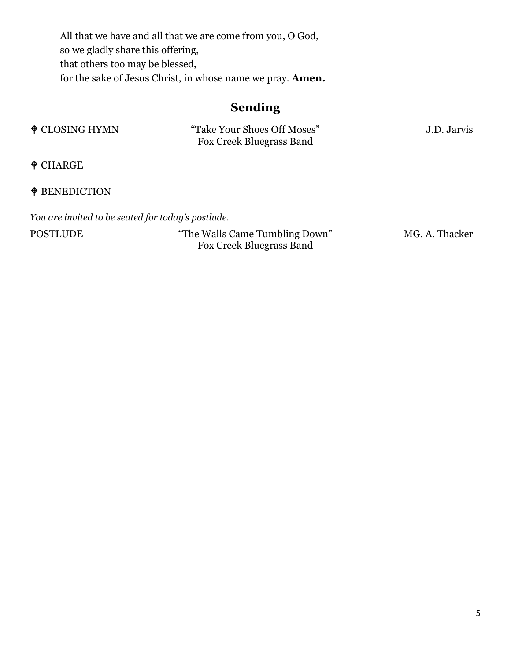All that we have and all that we are come from you, O God, so we gladly share this offering, that others too may be blessed, for the sake of Jesus Christ, in whose name we pray. **Amen.**

### **Sending**

| $\triangle$ CLOSING HYMN | "Take Your Shoes Off Moses" | J.D. Jarvis |
|--------------------------|-----------------------------|-------------|
|                          | Fox Creek Bluegrass Band    |             |

CHARGE

### $\spadesuit$ BENEDICTION

*You are invited to be seated for today's postlude.*

POSTLUDE "The Walls Came Tumbling Down" MG. A. Thacker Fox Creek Bluegrass Band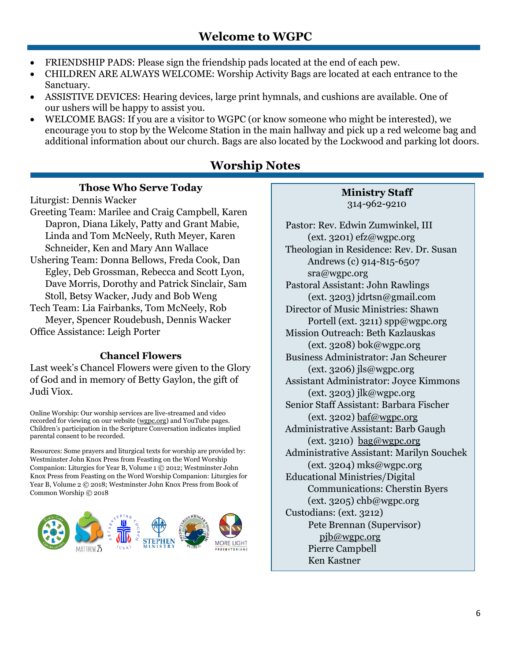- FRIENDSHIP PADS: Please sign the friendship pads located at the end of each pew.
- CHILDREN ARE ALWAYS WELCOME: Worship Activity Bags are located at each entrance to the Sanctuary.
- ASSISTIVE DEVICES: Hearing devices, large print hymnals, and cushions are available. One of our ushers will be happy to assist you.
- WELCOME BAGS: If you are a visitor to WGPC (or know someone who might be interested), we encourage you to stop by the Welcome Station in the main hallway and pick up a red welcome bag and additional information about our church. Bags are also located by the Lockwood and parking lot doors.

### **Worship Notes**

### **Those Who Serve Today**

Liturgist: Dennis Wacker Greeting Team: Marilee and Craig Campbell, Karen Dapron, Diana Likely, Patty and Grant Mabie, Linda and Tom McNeely, Ruth Meyer, Karen Schneider, Ken and Mary Ann Wallace Ushering Team: Donna Bellows, Freda Cook, Dan Egley, Deb Grossman, Rebecca and Scott Lyon, Dave Morris, Dorothy and Patrick Sinclair, Sam Stoll, Betsy Wacker, Judy and Bob Weng Tech Team: Lia Fairbanks, Tom McNeely, Rob

Meyer, Spencer Roudebush, Dennis Wacker Office Assistance: Leigh Porter

### **Chancel Flowers**

Last week's Chancel Flowers were given to the Glory of God and in memory of Betty Gaylon, the gift of Judi Viox.

Online Worship: Our worship services are live-streamed and video recorded for viewing on our website [\(wgpc.org\)](file://LOCKWOOD/Users/baf/7-7-21%20BACKUP%20START%20HERE/7-18%20Bulletin/wgpc.org) and YouTube pages. Children's participation in the Scripture Conversation indicates implied parental consent to be recorded.

Resources: Some prayers and liturgical texts for worship are provided by: Westminster John Knox Press from Feasting on the Word Worship Companion: Liturgies for Year B, Volume 1 © 2012; Westminster John Knox Press from Feasting on the Word Worship Companion: Liturgies for Year B, Volume 2 © 2018; Westminster John Knox Press from Book of Common Worship © 2018



### **Ministry Staff** 314-962-9210

Pastor: Rev. Edwin Zumwinkel, III (ext. 3201) efz@wgpc.org Theologian in Residence: Rev. Dr. Susan Andrews (c) 914-815-6507 sra@wgpc.org Pastoral Assistant: John Rawlings (ext. 3203) jdrtsn@gmail.com Director of Music Ministries: Shawn Portell (ext. 3211) spp@wgpc.org Mission Outreach: Beth Kazlauskas  $(\text{ext. } 3208) \text{ bok}$ @wgpc.org Business Administrator: Jan Scheurer  $(ext. 3206)$  jls@wgpc.org Assistant Administrator: Joyce Kimmons (ext. 3203) jlk@wgpc.org Senior Staff Assistant: Barbara Fischer (ext. 3202) [baf@wgpc.org](mailto:baf@wgpc.org) Administrative Assistant: Barb Gaugh  $(\text{ext. }3210)$  [bag@wgpc.org](mailto:bag@wgpc.org) Administrative Assistant: Marilyn Souchek (ext. 3204) mks@wgpc.org Educational Ministries/Digital Communications: Cherstin Byers  $(ext. 3205)$  chb@wgpc.org Custodians: (ext. 3212) Pete Brennan (Supervisor) [pjb@wgpc.org](mailto:pjb@wgpc.org) Pierre Campbell Ken Kastner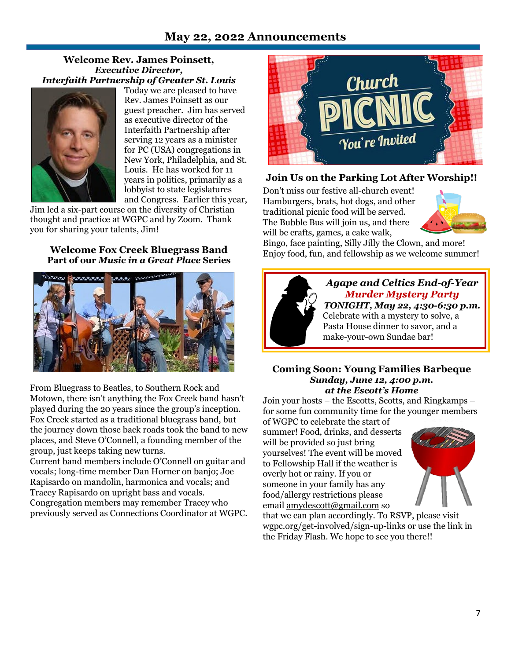### **May 22, 2022 Announcements**

#### **Welcome Rev. James Poinsett,** *Executive Director, Interfaith Partnership of Greater St. Louis*



Today we are pleased to have Rev. James Poinsett as our guest preacher. Jim has served as executive director of the Interfaith Partnership after serving 12 years as a minister for PC (USA) congregations in New York, Philadelphia, and St. Louis. He has worked for 11 years in politics, primarily as a lobbyist to state legislatures and Congress. Earlier this year,

Jim led a six-part course on the diversity of Christian thought and practice at WGPC and by Zoom. Thank you for sharing your talents, Jim!

#### **Welcome Fox Creek Bluegrass Band Part of our** *Music in a Great Place* **Series**



From Bluegrass to Beatles, to Southern Rock and Motown, there isn't anything the Fox Creek band hasn't played during the 20 years since the group's inception. Fox Creek started as a traditional bluegrass band, but the journey down those back roads took the band to new places, and Steve O'Connell, a founding member of the group, just keeps taking new turns.

Current band members include O'Connell on guitar and vocals; long-time member Dan Horner on banjo; Joe Rapisardo on mandolin, harmonica and vocals; and Tracey Rapisardo on upright bass and vocals. Congregation members may remember Tracey who previously served as Connections Coordinator at WGPC.



### **Join Us on the Parking Lot After Worship!!**

Don't miss our festive all-church event! Hamburgers, brats, hot dogs, and other traditional picnic food will be served. The Bubble Bus will join us, and there will be crafts, games, a cake walk,



Bingo, face painting, Silly Jilly the Clown, and more! Enjoy food, fun, and fellowship as we welcome summer!



*Agape and Celtics End-of-Year Murder Mystery Party TONIGHT, May 22, 4:30-6:30 p.m.* Celebrate with a mystery to solve, a Pasta House dinner to savor, and a make-your-own Sundae bar!

#### **Coming Soon: Young Families Barbeque** *Sunday, June 12, 4:00 p.m. at the Escott's Home*

Join your hosts – the Escotts, Scotts, and Ringkamps – for some fun community time for the younger members

of WGPC to celebrate the start of summer! Food, drinks, and desserts will be provided so just bring yourselves! The event will be moved to Fellowship Hall if the weather is overly hot or rainy. If you or someone in your family has any food/allergy restrictions please email [amydescott@gmail.com](mailto:amydescott@gmail.com) so



that we can plan accordingly. To RSVP, please visit [wgpc.org/get-involved/sign-up-links](http://wgpc.org/get-involved/sign-up-links) or use the link in the Friday Flash. We hope to see you there!!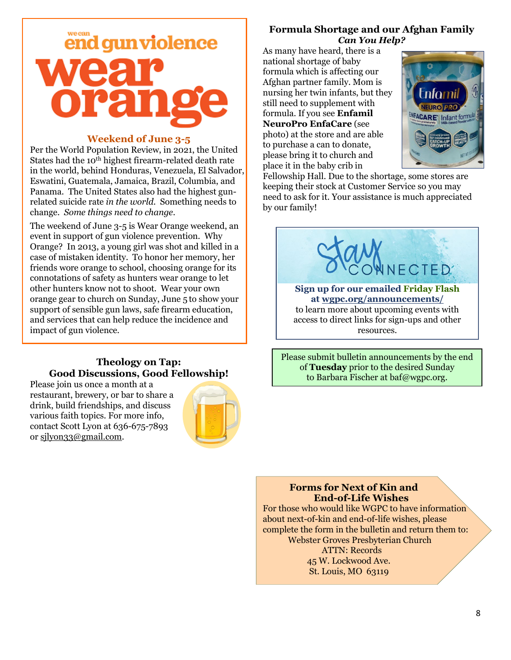

#### **Weekend of June 3-5**

Per the World Population Review, in 2021, the United States had the 10<sup>th</sup> highest firearm-related death rate in the world, behind Honduras, Venezuela, El Salvador, Eswatini, Guatemala, Jamaica, Brazil, Columbia, and Panama. The United States also had the highest gunrelated suicide rate *in the world*. Something needs to change. *Some things need to change.*

The weekend of June 3-5 is Wear Orange weekend, an event in support of gun violence prevention. Why Orange? In 2013, a young girl was shot and killed in a case of mistaken identity. To honor her memory, her friends wore orange to school, choosing orange for its connotations of safety as hunters wear orange to let other hunters know not to shoot. Wear your own orange gear to church on Sunday, June 5 to show your support of sensible gun laws, safe firearm education, and services that can help reduce the incidence and impact of gun violence.

#### **Theology on Tap: Good Discussions, Good Fellowship!**

Please join us once a month at a restaurant, brewery, or bar to share a drink, build friendships, and discuss various faith topics. For more info, contact Scott Lyon at 636-675-7893 or [sjlyon33@gmail.com.](mailto:sjlyon33@gmail.com)



### **Formula Shortage and our Afghan Family** *Can You Help?*

As many have heard, there is a national shortage of baby formula which is affecting our Afghan partner family. Mom is nursing her twin infants, but they still need to supplement with formula. If you see **Enfamil NeuroPro EnfaCare** (see photo) at the store and are able to purchase a can to donate, please bring it to church and place it in the baby crib in



Fellowship Hall. Due to the shortage, some stores are keeping their stock at Customer Service so you may need to ask for it. Your assistance is much appreciated by our family!



Please submit bulletin announcements by the end of **Tuesday** prior to the desired Sunday to Barbara Fischer at baf@wgpc.org.

### **Forms for Next of Kin and End-of-Life Wishes**

For those who would like WGPC to have information about next-of-kin and end-of-life wishes, please complete the form in the bulletin and return them to: Webster Groves Presbyterian Church ATTN: Records

 45 W. Lockwood Ave. St. Louis, MO 63119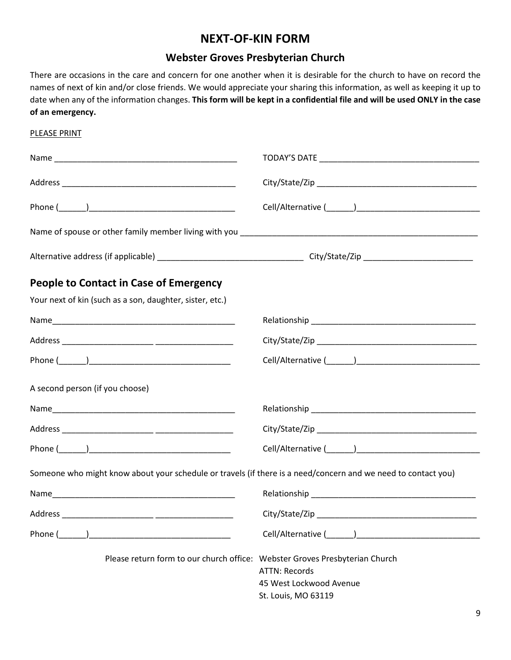### **NEXT-OF-KIN FORM**

### **Webster Groves Presbyterian Church**

There are occasions in the care and concern for one another when it is desirable for the church to have on record the names of next of kin and/or close friends. We would appreciate your sharing this information, as well as keeping it up to date when any of the information changes. **This form will be kept in a confidential file and will be used ONLY in the case of an emergency.**

# PLEASE PRINT Name \_\_\_\_\_\_\_\_\_\_\_\_\_\_\_\_\_\_\_\_\_\_\_\_\_\_\_\_\_\_\_\_\_\_\_\_\_\_\_\_ TODAY'S DATE \_\_\_\_\_\_\_\_\_\_\_\_\_\_\_\_\_\_\_\_\_\_\_\_\_\_\_\_\_\_\_\_\_\_\_ Address \_\_\_\_\_\_\_\_\_\_\_\_\_\_\_\_\_\_\_\_\_\_\_\_\_\_\_\_\_\_\_\_\_\_\_\_\_\_ City/State/Zip \_\_\_\_\_\_\_\_\_\_\_\_\_\_\_\_\_\_\_\_\_\_\_\_\_\_\_\_\_\_\_\_\_\_\_ Phone (\_\_\_\_\_\_)\_\_\_\_\_\_\_\_\_\_\_\_\_\_\_\_\_\_\_\_\_\_\_\_\_\_\_\_\_\_\_\_ Cell/Alternative (\_\_\_\_\_\_)\_\_\_\_\_\_\_\_\_\_\_\_\_\_\_\_\_\_\_\_\_\_\_\_\_\_\_ Name of spouse or other family member living with you \_\_\_\_\_\_\_\_\_\_\_\_\_\_\_\_\_\_\_\_\_\_\_\_\_\_\_\_\_\_\_\_\_\_\_\_\_\_\_\_\_\_\_\_\_\_\_\_\_\_\_\_ Alternative address (if applicable) \_\_\_\_\_\_\_\_\_\_\_\_\_\_\_\_\_\_\_\_\_\_\_\_\_\_\_\_\_\_\_\_ City/State/Zip \_\_\_\_\_\_\_\_\_\_\_\_\_\_\_\_\_\_\_\_\_\_\_\_ **People to Contact in Case of Emergency** Your next of kin (such as a son, daughter, sister, etc.) Name\_\_\_\_\_\_\_\_\_\_\_\_\_\_\_\_\_\_\_\_\_\_\_\_\_\_\_\_\_\_\_\_\_\_\_\_\_\_\_\_ Relationship \_\_\_\_\_\_\_\_\_\_\_\_\_\_\_\_\_\_\_\_\_\_\_\_\_\_\_\_\_\_\_\_\_\_\_\_ Address \_\_\_\_\_\_\_\_\_\_\_\_\_\_\_\_\_\_\_\_ \_\_\_\_\_\_\_\_\_\_\_\_\_\_\_\_\_ City/State/Zip \_\_\_\_\_\_\_\_\_\_\_\_\_\_\_\_\_\_\_\_\_\_\_\_\_\_\_\_\_\_\_\_\_\_\_ Phone (\_\_\_\_\_\_)\_\_\_\_\_\_\_\_\_\_\_\_\_\_\_\_\_\_\_\_\_\_\_\_\_\_\_\_\_\_\_ Cell/Alternative (\_\_\_\_\_\_)\_\_\_\_\_\_\_\_\_\_\_\_\_\_\_\_\_\_\_\_\_\_\_\_\_\_\_ A second person (if you choose) Name was also assumed a set of the second second second second second second second second second second second second second second second second second second second second second second second second second second secon Address \_\_\_\_\_\_\_\_\_\_\_\_\_\_\_\_\_\_\_\_ \_\_\_\_\_\_\_\_\_\_\_\_\_\_\_\_\_ City/State/Zip \_\_\_\_\_\_\_\_\_\_\_\_\_\_\_\_\_\_\_\_\_\_\_\_\_\_\_\_\_\_\_\_\_\_\_ Phone (\_\_\_\_\_\_)\_\_\_\_\_\_\_\_\_\_\_\_\_\_\_\_\_\_\_\_\_\_\_\_\_\_\_\_\_\_\_ Cell/Alternative (\_\_\_\_\_\_)\_\_\_\_\_\_\_\_\_\_\_\_\_\_\_\_\_\_\_\_\_\_\_\_\_\_\_ Someone who might know about your schedule or travels (if there is a need/concern and we need to contact you) Name\_\_\_\_\_\_\_\_\_\_\_\_\_\_\_\_\_\_\_\_\_\_\_\_\_\_\_\_\_\_\_\_\_\_\_\_\_\_\_\_ Relationship \_\_\_\_\_\_\_\_\_\_\_\_\_\_\_\_\_\_\_\_\_\_\_\_\_\_\_\_\_\_\_\_\_\_\_\_ Address \_\_\_\_\_\_\_\_\_\_\_\_\_\_\_\_\_\_\_\_ \_\_\_\_\_\_\_\_\_\_\_\_\_\_\_\_\_ City/State/Zip \_\_\_\_\_\_\_\_\_\_\_\_\_\_\_\_\_\_\_\_\_\_\_\_\_\_\_\_\_\_\_\_\_\_\_ Phone (\_\_\_\_\_\_) The contractive cell/Alternative (\_\_\_\_\_\_) Cell/Alternative (\_\_\_\_\_) Please return form to our church office: Webster Groves Presbyterian Church ATTN: Records 45 West Lockwood Avenue St. Louis, MO 63119